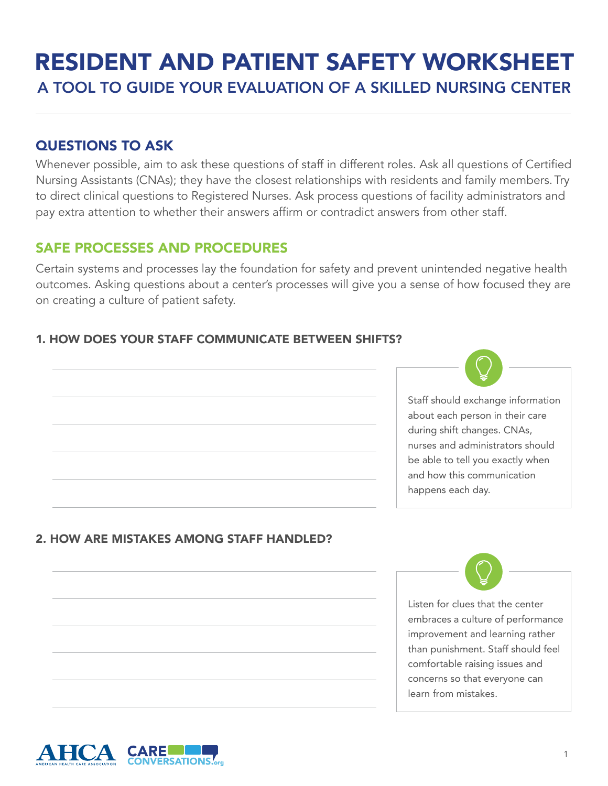# A TOOL TO GUIDE YOUR EVALUATION OF A SKILLED NURSING CENTER RESIDENT AND PATIENT SAFETY WORKSHEET

# QUESTIONS TO ASK

Whenever possible, aim to ask these questions of staff in different roles. Ask all questions of Certified Nursing Assistants (CNAs); they have the closest relationships with residents and family members. Try to direct clinical questions to Registered Nurses. Ask process questions of facility administrators and pay extra attention to whether their answers affirm or contradict answers from other staff.

# safe PROCESSES AND PROCEDURES

Certain systems and processes lay the foundation for safety and prevent unintended negative health outcomes. Asking questions about a center's processes will give you a sense of how focused they are on creating a culture of patient safety.

## 1. How does your staff communicate between shifts?



## 2. how are mistakes among staff handled?

Listen for clues that the center embraces a culture of performance improvement and learning rather than punishment. Staff should feel comfortable raising issues and concerns so that everyone can learn from mistakes.

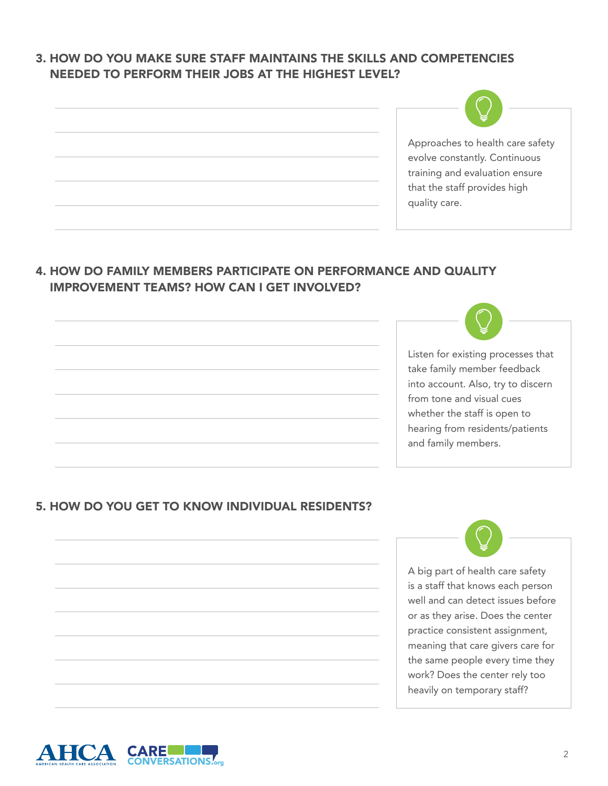## 3. How do you make sure staff maintains the skills and competencies needed to perform their jobs at the highest level?

| Approaches to health care safety<br>evolve constantly. Continuous<br>training and evaluation ensure<br>that the staff provides high<br>quality care. |
|------------------------------------------------------------------------------------------------------------------------------------------------------|

## 4. How do family members participate on performance and quality improvement teams? How can I get involved?

Listen for existing processes that take family member feedback into account. Also, try to discern from tone and visual cues whether the staff is open to hearing from residents/patients and family members.

## 5. How do you get to know individual residents?

A big part of health care safety is a staff that knows each person well and can detect issues before or as they arise. Does the center practice consistent assignment, meaning that care givers care for the same people every time they work? Does the center rely too heavily on temporary staff?

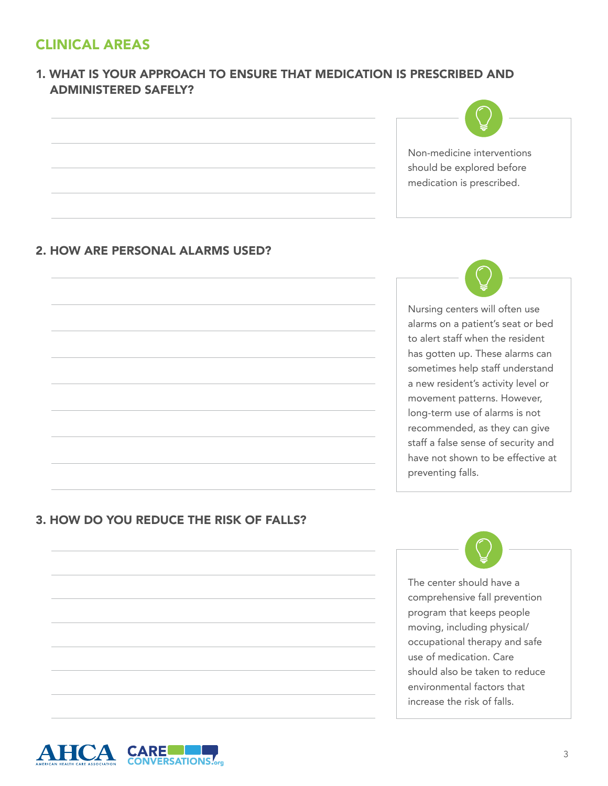# Clinical areas

## 1. What is your approach to ensure that medication is prescribed and administered safely?

Non-medicine interventions should be explored before medication is prescribed.

#### 2. How are personal alarms used?

Nursing centers will often use alarms on a patient's seat or bed to alert staff when the resident has gotten up. These alarms can sometimes help staff understand a new resident's activity level or movement patterns. However, long-term use of alarms is not recommended, as they can give staff a false sense of security and have not shown to be effective at preventing falls.

### 3. How do you REDUCE THE RISK OF falls?

The center should have a comprehensive fall prevention program that keeps people moving, including physical/ occupational therapy and safe use of medication. Care should also be taken to reduce environmental factors that increase the risk of falls.